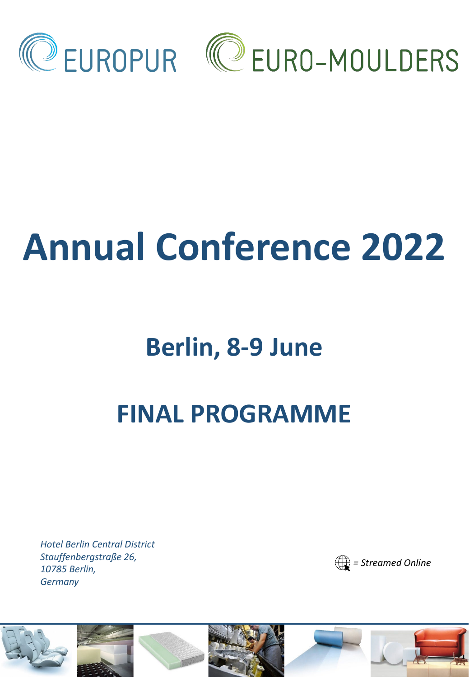

# **Annual Conference 2022**

## **Berlin, 8-9 June**

## **FINAL PROGRAMME**

*Hotel Berlin Central District Stauffenbergstraße 26, 10785 Berlin, Germany*



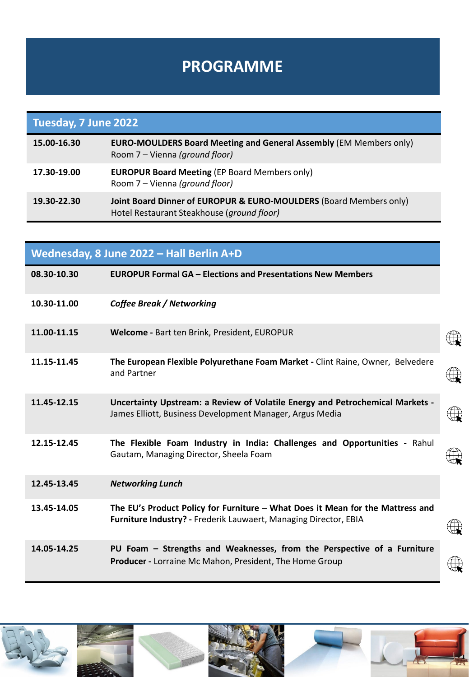#### **PROGRAMME**

| Tuesday, 7 June 2022 |                                                                                                                  |
|----------------------|------------------------------------------------------------------------------------------------------------------|
| 15.00-16.30          | <b>EURO-MOULDERS Board Meeting and General Assembly (EM Members only)</b><br>Room 7 – Vienna (ground floor)      |
| 17.30-19.00          | <b>EUROPUR Board Meeting (EP Board Members only)</b><br>Room 7 - Vienna (ground floor)                           |
| 19.30-22.30          | Joint Board Dinner of EUROPUR & EURO-MOULDERS (Board Members only)<br>Hotel Restaurant Steakhouse (ground floor) |

| Wednesday, 8 June 2022 - Hall Berlin A+D |                                                                                                                                                    |             |
|------------------------------------------|----------------------------------------------------------------------------------------------------------------------------------------------------|-------------|
| 08.30-10.30                              | <b>EUROPUR Formal GA - Elections and Presentations New Members</b>                                                                                 |             |
| 10.30-11.00                              | <b>Coffee Break / Networking</b>                                                                                                                   |             |
| 11.00-11.15                              | Welcome - Bart ten Brink, President, EUROPUR                                                                                                       |             |
| 11.15-11.45                              | The European Flexible Polyurethane Foam Market - Clint Raine, Owner, Belvedere<br>and Partner                                                      |             |
| 11.45-12.15                              | Uncertainty Upstream: a Review of Volatile Energy and Petrochemical Markets -<br>James Elliott, Business Development Manager, Argus Media          | $\bigoplus$ |
| 12.15-12.45                              | The Flexible Foam Industry in India: Challenges and Opportunities - Rahul<br>Gautam, Managing Director, Sheela Foam                                |             |
| 12.45-13.45                              | <b>Networking Lunch</b>                                                                                                                            |             |
| 13.45-14.05                              | The EU's Product Policy for Furniture - What Does it Mean for the Mattress and<br>Furniture Industry? - Frederik Lauwaert, Managing Director, EBIA |             |
| 14.05-14.25                              | PU Foam - Strengths and Weaknesses, from the Perspective of a Furniture<br>Producer - Lorraine Mc Mahon, President, The Home Group                 |             |

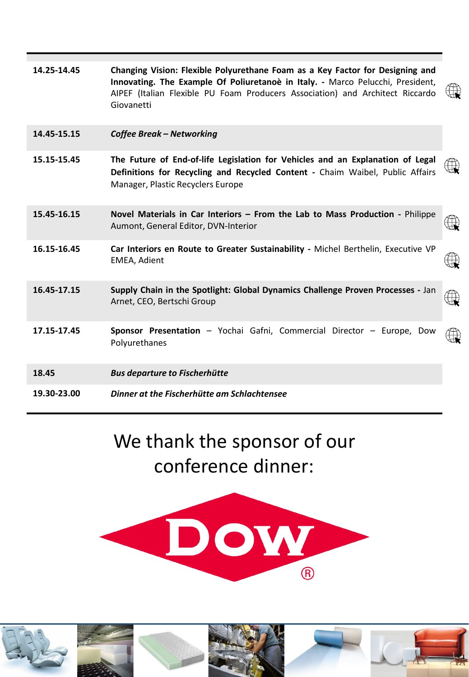| 14.25-14.45 | Changing Vision: Flexible Polyurethane Foam as a Key Factor for Designing and<br>Innovating. The Example Of Poliuretanoè in Italy. - Marco Pelucchi, President,<br>AIPEF (Italian Flexible PU Foam Producers Association) and Architect Riccardo<br>Giovanetti | $\bigoplus$  |
|-------------|----------------------------------------------------------------------------------------------------------------------------------------------------------------------------------------------------------------------------------------------------------------|--------------|
| 14.45-15.15 | <b>Coffee Break - Networking</b>                                                                                                                                                                                                                               |              |
| 15.15-15.45 | The Future of End-of-life Legislation for Vehicles and an Explanation of Legal<br>Definitions for Recycling and Recycled Content - Chaim Waibel, Public Affairs<br>Manager, Plastic Recyclers Europe                                                           | $\bigoplus$  |
| 15.45-16.15 | Novel Materials in Car Interiors - From the Lab to Mass Production - Philippe<br>Aumont, General Editor, DVN-Interior                                                                                                                                          | $\mathbb{R}$ |
| 16.15-16.45 | Car Interiors en Route to Greater Sustainability - Michel Berthelin, Executive VP<br><b>EMEA, Adient</b>                                                                                                                                                       | $\mathbb{R}$ |
| 16.45-17.15 | Supply Chain in the Spotlight: Global Dynamics Challenge Proven Processes - Jan<br>Arnet, CEO, Bertschi Group                                                                                                                                                  | $\mathbb{Q}$ |
| 17.15-17.45 | Sponsor Presentation - Yochai Gafni, Commercial Director - Europe, Dow<br>Polyurethanes                                                                                                                                                                        | $\mathbb{R}$ |
| 18.45       | <b>Bus departure to Fischerhütte</b>                                                                                                                                                                                                                           |              |
| 19.30-23.00 | Dinner at the Fischerhütte am Schlachtensee                                                                                                                                                                                                                    |              |

### We thank the sponsor of our conference dinner:



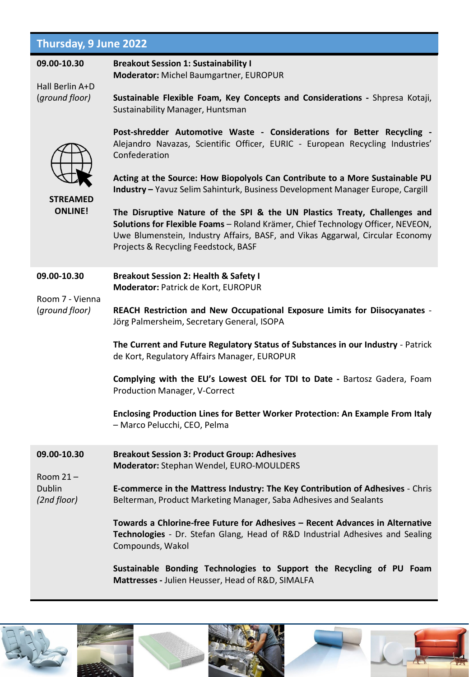#### **Thursday, 9 June 2022**

| 09.00-10.30<br>Hall Berlin A+D<br>(ground floor)    | <b>Breakout Session 1: Sustainability I</b><br>Moderator: Michel Baumgartner, EUROPUR<br>Sustainable Flexible Foam, Key Concepts and Considerations - Shpresa Kotaji,<br>Sustainability Manager, Huntsman                                                                                                                                                                                                                                                                                                                                                                                                                           |
|-----------------------------------------------------|-------------------------------------------------------------------------------------------------------------------------------------------------------------------------------------------------------------------------------------------------------------------------------------------------------------------------------------------------------------------------------------------------------------------------------------------------------------------------------------------------------------------------------------------------------------------------------------------------------------------------------------|
| <b>STREAMED</b><br><b>ONLINE!</b>                   | Post-shredder Automotive Waste - Considerations for Better Recycling -<br>Alejandro Navazas, Scientific Officer, EURIC - European Recycling Industries'<br>Confederation<br>Acting at the Source: How Biopolyols Can Contribute to a More Sustainable PU<br>Industry - Yavuz Selim Sahinturk, Business Development Manager Europe, Cargill<br>The Disruptive Nature of the SPI & the UN Plastics Treaty, Challenges and<br>Solutions for Flexible Foams - Roland Krämer, Chief Technology Officer, NEVEON,<br>Uwe Blumenstein, Industry Affairs, BASF, and Vikas Aggarwal, Circular Economy<br>Projects & Recycling Feedstock, BASF |
| 09.00-10.30<br>Room 7 - Vienna<br>(ground floor)    | <b>Breakout Session 2: Health &amp; Safety I</b><br>Moderator: Patrick de Kort, EUROPUR<br>REACH Restriction and New Occupational Exposure Limits for Diisocyanates -<br>Jörg Palmersheim, Secretary General, ISOPA<br>The Current and Future Regulatory Status of Substances in our Industry - Patrick<br>de Kort, Regulatory Affairs Manager, EUROPUR<br>Complying with the EU's Lowest OEL for TDI to Date - Bartosz Gadera, Foam<br><b>Production Manager, V-Correct</b><br>Enclosing Production Lines for Better Worker Protection: An Example From Italy<br>- Marco Pelucchi, CEO, Pelma                                      |
| 09.00-10.30<br>Room $21 -$<br>Dublin<br>(2nd floor) | <b>Breakout Session 3: Product Group: Adhesives</b><br>Moderator: Stephan Wendel, EURO-MOULDERS<br>E-commerce in the Mattress Industry: The Key Contribution of Adhesives - Chris<br>Belterman, Product Marketing Manager, Saba Adhesives and Sealants<br>Towards a Chlorine-free Future for Adhesives - Recent Advances in Alternative<br>Technologies - Dr. Stefan Glang, Head of R&D Industrial Adhesives and Sealing<br>Compounds, Wakol<br>Sustainable Bonding Technologies to Support the Recycling of PU Foam<br>Mattresses - Julien Heusser, Head of R&D, SIMALFA                                                           |

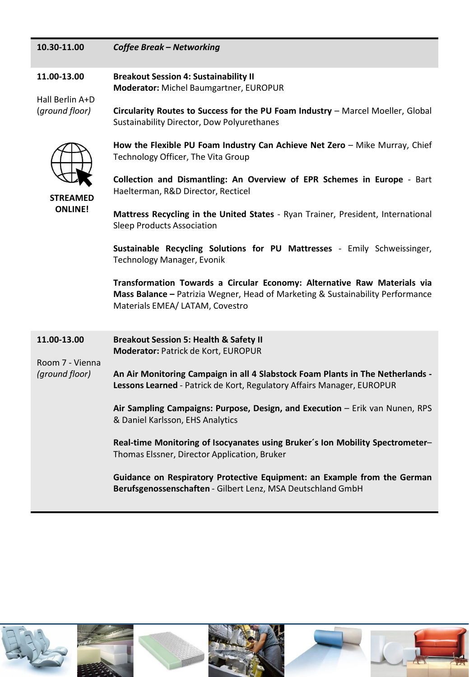| 10.30-11.00 | <b>Coffee Break - Networking</b> |
|-------------|----------------------------------|
|-------------|----------------------------------|

**11.00-13.00 Breakout Session 4: Sustainability II Moderator:** Michel Baumgartner, EUROPUR

Hall Berlin A+D (*ground floor)*

**Circularity Routes to Success for the PU Foam Industry** – Marcel Moeller, Global Sustainability Director, Dow Polyurethanes



**STREAMED**

**How the Flexible PU Foam Industry Can Achieve Net Zero** – Mike Murray, Chief Technology Officer, The Vita Group

**Collection and Dismantling: An Overview of EPR Schemes in Europe** - Bart Haelterman, R&D Director, Recticel

**Mattress Recycling in the United States** - Ryan Trainer, President, International **ONLINE!**

Sleep Products Association

**Sustainable Recycling Solutions for PU Mattresses** - Emily Schweissinger, Technology Manager, Evonik

**Transformation Towards a Circular Economy: Alternative Raw Materials via Mass Balance –** Patrizia Wegner, Head of Marketing & Sustainability Performance Materials EMEA/ LATAM, Covestro

**11.00-13.00** Room 7 - Vienna *(ground floor)* **Breakout Session 5: Health & Safety II Moderator:** Patrick de Kort, EUROPUR **An Air Monitoring Campaign in all 4 Slabstock Foam Plants in The Netherlands - Lessons Learned** - Patrick de Kort, Regulatory Affairs Manager, EUROPUR **Air Sampling Campaigns: Purpose, Design, and Execution** – Erik van Nunen, RPS & Daniel Karlsson, EHS Analytics **Real-time Monitoring of Isocyanates using Bruker´s Ion Mobility Spectrometer**– Thomas Elssner, Director Application, Bruker

> **Guidance on Respiratory Protective Equipment: an Example from the German Berufsgenossenschaften** - Gilbert Lenz, MSA Deutschland GmbH